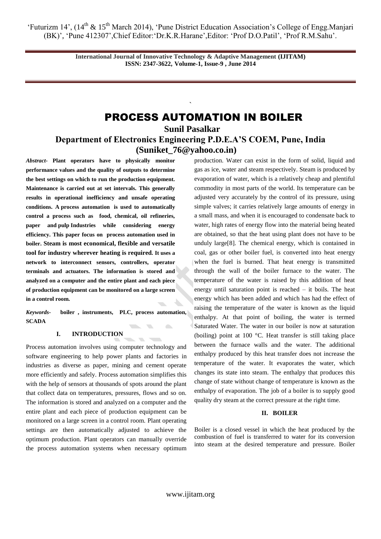> **International Journal of Innovative Technology & Adaptive Management (IJITAM) ISSN: 2347-3622, Volume-1, Issue-9 , June 2014**

# PROCESS AUTOMATION IN BOILER

**Sunil Pasalkar Department of Electronics Engineering P.D.E.A'S COEM, Pune, India [\(Suniket\\_76@yahoo.co.in\)](mailto:Suniket_76@yahoo.co.in)**

`

*Abstract-* **Plant operators have to physically monitor performance values and the quality of outputs to determine the best settings on which to run the production equipment. Maintenance is carried out at set intervals. This generally results in operational inefficiency and unsafe operating conditions. A process automation is used to automatically control a process such as food, chemical, oil refineries, paper and pulp Industries while considering energy efficiency. This paper focus on process automation used in boiler. Steam is most economical, flexible and versatile tool for industry wherever heating is required***.* **It uses a network to interconnect sensors, controllers, operator terminals and actuators. The information is stored and analyzed on a computer and the entire plant and each piece of production equipment can be monitored on a large screen in a control room.**

*Keywords***- boiler , instruments, PLC, process automation, SCADA**  $\overline{\phantom{a}}$ 

# **I. INTRODUCTION**

Process automation involves using computer technology and software engineering to help power plants and factories in industries as diverse as paper, mining and cement operate more efficiently and safely. Process automation simplifies this with the help of sensors at thousands of spots around the plant that collect data on temperatures, pressures, flows and so on. The information is stored and analyzed on a computer and the entire plant and each piece of production equipment can be monitored on a large screen in a control room. Plant operating settings are then automatically adjusted to achieve the optimum production. Plant operators can manually override the process automation systems when necessary optimum production. Water can exist in the form of solid, liquid and gas as ice, water and steam respectively. Steam is produced by evaporation of water, which is a relatively cheap and plentiful commodity in most parts of the world. Its temperature can be adjusted very accurately by the control of its pressure, using simple valves; it carries relatively large amounts of energy in a small mass, and when it is encouraged to condensate back to water, high rates of energy flow into the material being heated are obtained, so that the heat using plant does not have to be unduly large[8]. The chemical energy, which is contained in coal, gas or other boiler fuel, is converted into heat energy when the fuel is burned. That heat energy is transmitted through the wall of the boiler furnace to the water. The temperature of the water is raised by this addition of heat energy until saturation point is reached – it boils. The heat energy which has been added and which has had the effect of raising the temperature of the water is known as the liquid enthalpy. At that point of boiling, the water is termed Saturated Water. The water in our boiler is now at saturation (boiling) point at 100 °C. Heat transfer is still taking place between the furnace walls and the water. The additional enthalpy produced by this heat transfer does not increase the temperature of the water. It evaporates the water, which changes its state into steam. The enthalpy that produces this change of state without change of temperature is known as the enthalpy of evaporation. The job of a boiler is to supply good quality dry steam at the correct pressure at the right time.

### **II. BOILER**

Boiler is a closed vessel in which the heat produced by the combustion of fuel is transferred to water for its conversion into steam at the desired temperature and pressure. Boiler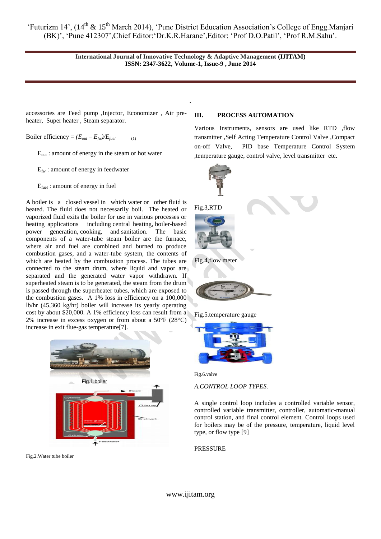> **International Journal of Innovative Technology & Adaptive Management (IJITAM) ISSN: 2347-3622, Volume-1, Issue-9 , June 2014**

> > `

accessories are Feed pump ,Injector, Economizer , Air preheater, Super heater , Steam separator.

Boiler efficiency =  $(E_{out} - E_{fw})/E_{fuel}$ 

 $E_{out}$ : amount of energy in the steam or hot water

 $E_{fw}$ : amount of energy in feedwater

Efuel : amount of energy in fuel

A boiler is a closed vessel in which water or other fluid is heated. The fluid does not necessarily boil. The heated or vaporized fluid exits the boiler for use in various processes or heating applications including [central heating,](http://en.wikipedia.org/wiki/Central_heating) [boiler-based](http://en.wikipedia.org/wiki/Boiler_(power_generation))  [power generation,](http://en.wikipedia.org/wiki/Boiler_(power_generation)) [cooking,](http://en.wikipedia.org/wiki/Cooking) and [sanitation.](http://en.wikipedia.org/wiki/Sanitation) The basic components of a water-tube steam boiler are the furnace, where air and fuel are combined and burned to produce combustion gases, and a water-tube system, the contents of which are heated by the combustion process. The tubes are connected to the steam drum, where liquid and vapor are separated and the generated water vapor withdrawn. If superheated steam is to be generated, the steam from the drum is passed through the superheater tubes, which are exposed to the combustion gases. A 1% loss in efficiency on a 100,000 lb/hr (45,360 kg/hr) boiler will increase its yearly operating cost by about \$20,000. A 1% efficiency loss can result from a 2% increase in excess oxygen or from about a 50°F (28°C) increase in exit flue-gas temperature[7].



Fig.2.Water tube boiler

# **III. PROCESS AUTOMATION**

Various Instruments, sensors are used like RTD ,flow transmitter ,Self Acting Temperature Control Valve ,Compact on-off Valve, PID base Temperature Control System ,temperature gauge, control valve, level transmitter etc.



Fig.5.temperature gauge



Fig.6.valve

*A.CONTROL LOOP TYPES.*

A single control loop includes a controlled variable sensor, controlled variable transmitter, controller, automatic-manual control station, and final control element. Control loops used for boilers may be of the pressure, temperature, liquid level type, or flow type [9]

### PRESSURE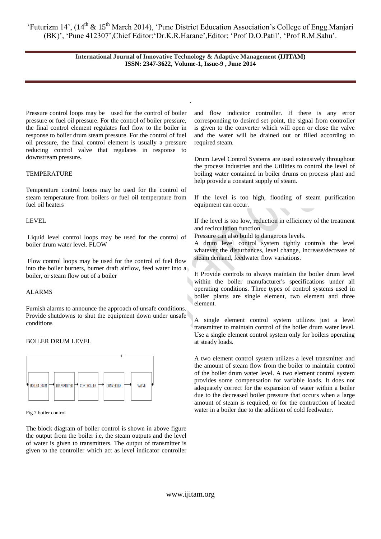# **International Journal of Innovative Technology & Adaptive Management (IJITAM) ISSN: 2347-3622, Volume-1, Issue-9 , June 2014**

`

Pressure control loops may be used for the control of boiler pressure or fuel oil pressure. For the control of boiler pressure, the final control element regulates fuel flow to the boiler in response to boiler drum steam pressure. For the control of fuel oil pressure, the final control element is usually a pressure reducing control valve that regulates in response to downstream pressure**.**

# **TEMPERATURE**

Temperature control loops may be used for the control of steam temperature from boilers or fuel oil temperature from fuel oil heaters

# LEVEL

Liquid level control loops may be used for the control of boiler drum water level. FLOW

Flow control loops may be used for the control of fuel flow into the boiler burners, burner draft airflow, feed water into a boiler, or steam flow out of a boiler

# ALARMS

Furnish alarms to announce the approach of unsafe conditions. Provide shutdowns to shut the equipment down under unsafe conditions

# BOILER DRUM LEVEL



Fig.7.boiler control

The block diagram of boiler control is shown in above figure the output from the boiler i.e, the steam outputs and the level of water is given to transmitters. The output of transmitter is given to the controller which act as level indicator controller

and flow indicator controller. If there is any error corresponding to desired set point, the signal from controller is given to the converter which will open or close the valve and the water will be drained out or filled according to required steam.

Drum Level Control Systems are used extensively throughout the process industries and the Utilities to control the level of boiling water contained in boiler drums on process plant and help provide a constant supply of steam.

If the level is too high, flooding of steam purification equipment can occur.

If the level is too low, reduction in efficiency of the treatment and recirculation function.

Pressure can also build to dangerous levels.

A drum level control system tightly controls the level whatever the disturbances, level change, increase/decrease of steam demand, feedwater flow variations.

It Provide controls to always maintain the boiler drum level within the boiler manufacturer's specifications under all operating conditions. Three types of control systems used in boiler plants are single element, two element and three element.

A single element control system utilizes just a level transmitter to maintain control of the boiler drum water level. Use a single element control system only for boilers operating at steady loads.

A two element control system utilizes a level transmitter and the amount of steam flow from the boiler to maintain control of the boiler drum water level. A two element control system provides some compensation for variable loads. It does not adequately correct for the expansion of water within a boiler due to the decreased boiler pressure that occurs when a large amount of steam is required, or for the contraction of heated water in a boiler due to the addition of cold feedwater.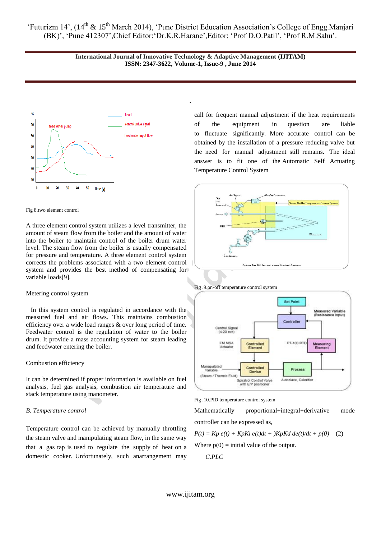> **International Journal of Innovative Technology & Adaptive Management (IJITAM) ISSN: 2347-3622, Volume-1, Issue-9 , June 2014**

> > `



#### Fig 8.two element control

A three element control system utilizes a level transmitter, the amount of steam flow from the boiler and the amount of water into the boiler to maintain control of the boiler drum water level. The steam flow from the boiler is usually compensated for pressure and temperature. A three element control system corrects the problems associated with a two element control system and provides the best method of compensating for variable loads[9].

#### Metering control system

 In this system control is regulated in accordance with the measured fuel and air flows. This maintains combustion efficiency over a wide load ranges & over long period of time. Feedwater control is the regulation of water to the boiler drum. It provide a mass accounting system for steam leading and feedwater entering the boiler.

#### Combustion efficiency

It can be determined if proper information is available on fuel analysis, fuel gas analysis, combustion air temperature and stack temperature using manometer.

### *B. Temperature control*

Temperature control can be achieved by manually throttling the steam valve and manipulating steam flow, in the same way that a gas tap is used to regulate the supply of heat on a domestic cooker. Unfortunately, such anarrangement may call for frequent manual adjustment if the heat requirements of the equipment in question are liable to fluctuate significantly. More accurate control can be obtained by the installation of a pressure reducing valve but the need for manual adjustment still remains. The ideal answer is to fit one of the [Automatic Self Actuating](http://www.forbesmarshall.com/fm_micro/ProductDetails2.aspx?id=161&Gname=STEAM%20UTILISATION&s1id=398&s1Name=Temperature%20Control%20Systems)  [Temperature Control System](http://www.forbesmarshall.com/fm_micro/ProductDetails2.aspx?id=161&Gname=STEAM%20UTILISATION&s1id=398&s1Name=Temperature%20Control%20Systems)









Mathematically proportional+integral+derivative mode controller can be expressed as,

$$
P(t) = Kp e(t) + KpKi e(t)dt + )KpKd de(t)/dt + p(0)
$$
 (2)  
Where p(0) = initial value of the output.  
C.PLC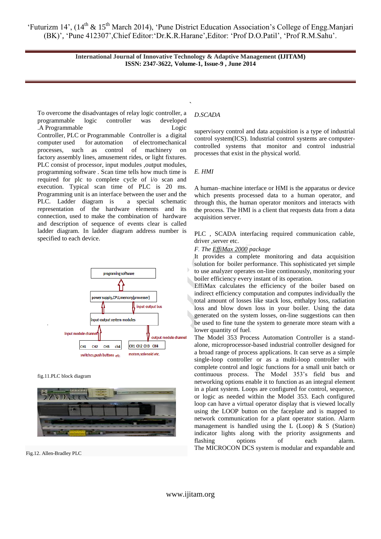> **International Journal of Innovative Technology & Adaptive Management (IJITAM) ISSN: 2347-3622, Volume-1, Issue-9 , June 2014**

` To overcome the disadvantages of relay logic controller, a programmable logic controller was developed .A Programmable Logic Controller, PLC or Programmable Controller is a digital computer used for automation of electromechanical processes, such as control of machinery on factory assembly lines, amusement rides, or light fixtures. PLC consist of processor, input modules ,output modules, programming software . Scan time tells how much time is required for plc to complete cycle of i/o scan and execution. Typical scan time of PLC is 20 ms. Programming unit is an interface between the user and the PLC. Ladder diagram is a special schematic representation of the hardware elements and its connection, used to make the combination of hardware and description of sequence of events clear is called ladder diagram. In ladder diagram address number is specified to each device.



fig.11.PLC block diagram



Fig.12. Allen-Bradley PLC

# *D.SCADA*

supervisory control and data acquisition is a type of industrial control system(ICS). Industrial control systems are computercontrolled systems that monitor and control industrial processes that exist in the physical world.

# *E. HMI*

A human–machine interface or HMI is the apparatus or device which presents processed data to a human operator, and through this, the human operator monitors and interacts with the process. The HMI is a client that requests data from a data acquisition server.

PLC , SCADA interfacing required communication cable, driver ,server etc.

*F. The [EffiMax 2000](http://www.forbesmarshall.com/fm_micro/Products5.aspx?MidP=159&Mname=STEAM%20GENERATION&s1id=391&s1name=Boiler&s2id=126&s2name=Effimax%20-%20Maximising%20Boiler%20Efficiency%20-%20Monitoring%20Control%20System) package*

It provides a complete monitoring and data acquisition solution for boiler performance. This sophisticated yet simple to use analyzer operates on-line continuously, monitoring your boiler efficiency every instant of its operation.

EffiMax calculates the efficiency of the boiler based on indirect efficiency computation and computes individually the total amount of losses like stack loss, enthalpy loss, radiation loss and blow down loss in your boiler. Using the data generated on the system losses, on-line suggestions can then be used to fine tune the system to generate more steam with a lower quantity of fuel.

The Model 353 Process Automation Controller is a standalone, microprocessor-based industrial controller designed for a broad range of process applications. It can serve as a simple single-loop controller or as a multi-loop controller with complete control and logic functions for a small unit batch or continuous process. The Model 353"s field bus and networking options enable it to function as an integral element in a plant system. Loops are configured for control, sequence, or logic as needed within the Model 353. Each configured loop can have a virtual operator display that is viewed locally using the LOOP button on the faceplate and is mapped to network communication for a plant operator station. Alarm management is handled using the L (Loop)  $\& S$  (Station) indicator lights along with the priority assignments and flashing options of each alarm. The MICROCON DCS system is modular and expandable and